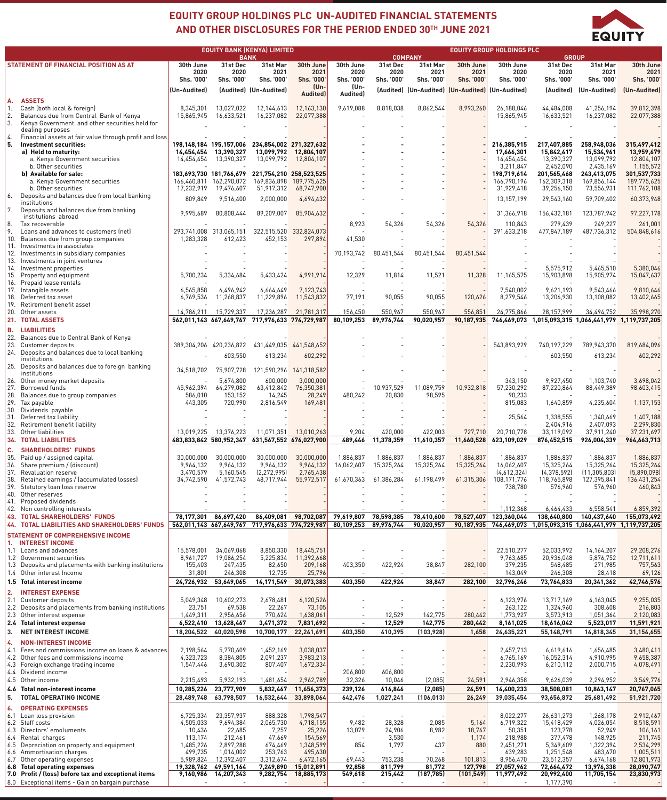

## **EQUITY GROUP HOLDINGS PLC UN-AUDITED FINANCIAL STATEMENTS AND OTHER DISCLOSURES FOR THE PERIOD ENDED 30TH JUNE 2021**

|                                       |                                                                                      | <b>EQUITY BANK (KENYA) LIMITED</b> |                                    |                                                 | <b>COMPANY</b>            | <b>EQUITY GROUP HOLDINGS PLC</b><br><b>GROUP</b> |                       |                       |                    |                                                  |                                                       |                               |                            |
|---------------------------------------|--------------------------------------------------------------------------------------|------------------------------------|------------------------------------|-------------------------------------------------|---------------------------|--------------------------------------------------|-----------------------|-----------------------|--------------------|--------------------------------------------------|-------------------------------------------------------|-------------------------------|----------------------------|
| STATEMENT OF FINANCIAL POSITION AS AT |                                                                                      | 30th June                          | 31st Dec                           | <b>BANK</b><br>31st Mar                         | 30th June                 | 30th June                                        | 31st Dec              | 31st Mar              | 30th June          | 30th June                                        | 31st Dec                                              | 31st Mar                      | 30th June                  |
|                                       |                                                                                      | 2020<br>Shs. '000'                 | 2020<br>Shs. '000'                 | 2021<br>Shs. '000'                              | 2021<br><b>Shs. '000'</b> | 2020<br>Shs. '000'                               | 2020<br>Shs. '000'    | 2021<br>Shs. '000'    | 2021<br>Shs. '000' | 2020<br>Shs. '000'                               | 2020<br>Shs. '000'                                    | 2021<br>Shs. '000'            | 2021<br>Shs. '000'         |
|                                       |                                                                                      |                                    |                                    |                                                 | (Un-                      | (Un-                                             |                       |                       |                    | [Audited] (Un-Audited) [Un-Audited] (Un-Audited) |                                                       |                               | (Un-Audited)               |
|                                       |                                                                                      | (Un-Audited)                       |                                    | (Audited) (Un-Audited)                          | Audited)                  | Audited)                                         |                       |                       |                    |                                                  | (Audited)                                             | (Un-Audited)                  |                            |
| А.<br>1.                              | <b>ASSETS</b><br>Cash (both local & foreign)                                         | 8,345,301                          | 13,027,022                         | 12,144,613                                      | 12,163,130                | 9,619,088                                        | 8,818,038             | 8,862,544             | 8,993,260          | 26,188,046                                       | 44,484,008                                            | 41,256,194                    | 39,812,398                 |
| 2.                                    | Balances due from Central Bank of Kenya                                              | 15,865,945                         | 16,633,521                         | 16,237,082                                      | 22,077,388                |                                                  |                       |                       |                    | 15,865,945                                       | 16,633,521                                            | 16,237,082                    | 22,077,388                 |
| 3.                                    | Kenya Government and other securities held for                                       |                                    |                                    |                                                 |                           |                                                  |                       |                       |                    |                                                  |                                                       |                               |                            |
| $\overline{4}$ .                      | dealing purposes<br>Financial assets at fair value through profit and loss           |                                    |                                    |                                                 |                           |                                                  |                       |                       |                    |                                                  |                                                       |                               |                            |
| 5.                                    | Investment securities:                                                               |                                    |                                    | 198,148,184 195,157,006 234,854,002 271,327,632 |                           |                                                  |                       |                       |                    | 216,385,915                                      | 217,407,885                                           | 258,948,036                   | 315,497,412                |
|                                       | a) Held to maturity:                                                                 |                                    | 14,454,454 13,390,327              |                                                 | 13,099,792 12,804,107     |                                                  |                       |                       |                    | 17,666,301                                       | 15,842,417                                            | 15,534,961                    | 13,959,679                 |
|                                       | a. Kenya Government securities<br>b. Other securities                                | 14,454,454                         | 13,390,327                         | 13,099,792                                      | 12,804,107                |                                                  |                       |                       |                    | 14,454,454<br>3,211,847                          | 13,390,327<br>2,452,090                               | 13,099,792<br>2,435,169       | 12,804,107<br>1,155,572    |
|                                       | b) Available for sale:                                                               |                                    |                                    | 183,693,730 181,766,679 221,754,210 258,523,525 |                           |                                                  |                       |                       |                    | 198,719,614                                      | 201,565,468                                           | 243,413,075                   | 301,537,733                |
|                                       | a. Kenya Government securities                                                       |                                    | 166,460,811 162,290,072            | 169,836,898                                     | 189,775,625               |                                                  |                       |                       |                    | 166,790,196                                      | 162,309,318                                           | 169,856,144                   | 189,775,625                |
| 6.                                    | b. Other securities<br>Deposits and balances due from local banking                  | 17,232,919                         | 19,476,607                         | 51,917,312                                      | 68,747,900                |                                                  |                       |                       |                    | 31,929,418                                       | 39,256,150                                            | 73,556,931                    | 111,762,108                |
|                                       | institutions                                                                         | 809,849                            | 9,516,400                          | 2,000,000                                       | 4,694,432                 |                                                  |                       |                       |                    | 13,157,199                                       | 29,543,160                                            | 59,709,402                    | 60,373,948                 |
| 7.                                    | Deposits and balances due from banking<br>institutions abroad                        | 9,995,689                          | 80,808,444                         | 89,209,007                                      | 85,904,632                |                                                  |                       |                       |                    | 31,366,918                                       | 156,432,181                                           | 123,787,942                   | 97,227,178                 |
| 8.                                    | Tax recoverable                                                                      |                                    |                                    |                                                 |                           | 8,923                                            | 54,326                | 54,326                | 54,326             | 110,843                                          | 279,439                                               | 249,227                       | 261,001                    |
| 9.                                    | Loans and advances to customers (net)                                                |                                    | 293,741,008 313,065,151            | 322,515,520                                     | 332,824,073               |                                                  |                       |                       |                    | 391,633,218                                      | 477,847,189                                           | 487,736,312                   | 504,848,616                |
| 10.                                   | Balances due from group companies<br>11. Investments in associates                   | 1,283,328                          | 612,423                            | 452,153                                         | 297,894                   | 41,530                                           |                       |                       |                    |                                                  |                                                       |                               |                            |
|                                       | 12. Investments in subsidiary companies                                              |                                    |                                    |                                                 |                           | 70,193,742                                       | 80,451,544            | 80,451,544            | 80,451,544         |                                                  |                                                       |                               |                            |
|                                       | 13. Investments in joint ventures                                                    |                                    |                                    |                                                 |                           |                                                  |                       |                       |                    |                                                  |                                                       |                               |                            |
|                                       | 14. Investment properties<br>15. Property and equipment                              | 5,700,234                          | 5,334,684                          | 5,433,424                                       | 4,991,914                 | 12,329                                           | 11,814                | 11,521                | 11,328             | 11,165,575                                       | 5,575,912<br>15,903,898                               | 5,465,510<br>15,905,974       | 5,380,046<br>15,047,637    |
|                                       | 16. Prepaid lease rentals                                                            |                                    |                                    |                                                 |                           |                                                  |                       |                       |                    |                                                  |                                                       |                               |                            |
|                                       | 17. Intangible assets                                                                | 6,565,858                          | 6,496,942                          | 6,664,649                                       | 7,123,743                 |                                                  |                       |                       |                    | 7,540,002                                        | 9,621,193                                             | 9,543,466                     | 9,810,646                  |
|                                       | 18. Deferred tax asset<br>19. Retirement benefit asset                               | 6,769,536                          | 11,268,837                         | 11,229,896                                      | 11,543,832                | 77,191                                           | 90,055                | 90,055                | 120,626            | 8,279,546                                        | 13,206,930                                            | 13,108,082                    | 13,402,665                 |
|                                       | 20. Other assets                                                                     | 14,786,211                         | 15,729,337                         | 17,236,287                                      | 21,781,317                | 156,450                                          | 550,967               | 550,967               | 556,851            | 24,775,866                                       | 28,157,999                                            | 34,494,752                    | 35,998,270                 |
|                                       | 21. TOTAL ASSETS                                                                     |                                    |                                    | 562,011,143 667,649,767 717,976,633 774,729,987 |                           | 80,109,253                                       | 89,976,744            | 90,020,957            | 90,187,935         |                                                  | 746,469,073 1,015,093,315 1,066,441,979 1,119,737,205 |                               |                            |
| В.                                    | <b>LIABILITIES</b>                                                                   |                                    |                                    |                                                 |                           |                                                  |                       |                       |                    |                                                  |                                                       |                               |                            |
|                                       | 22. Balances due to Central Bank of Kenya                                            |                                    |                                    |                                                 |                           |                                                  |                       |                       |                    |                                                  |                                                       |                               |                            |
| 23.                                   | Customer deposits<br>24. Deposits and balances due to local banking                  |                                    | 389,304,206 420,236,822            |                                                 | 431,449,035 441,548,652   |                                                  |                       |                       |                    | 543,893,929                                      | 740,197,229                                           | 789,943,370                   | 819,684,096                |
|                                       | institutions                                                                         |                                    | 603,550                            | 613,234                                         | 602,292                   |                                                  |                       |                       |                    |                                                  | 603,550                                               | 613,234                       | 602,292                    |
|                                       | 25. Deposits and balances due to foreign banking<br>institutions                     | 34,518,702                         | 75,907,728                         |                                                 | 121,590,296 141,318,582   |                                                  |                       |                       |                    |                                                  |                                                       |                               |                            |
| 26.                                   | Other money market deposits                                                          |                                    | 5,674,800                          | 600,000                                         | 3,000,000                 |                                                  |                       |                       |                    | 343,150                                          | 9,927,450                                             | 1,103,740                     | 3,698,042                  |
| 27.                                   | Borrowed funds                                                                       | 45,962,394                         | 64,279,082                         | 63,412,842                                      | 76,350,381                |                                                  | 10,937,529            | 11,089,759            | 10,932,818         | 57,230,292                                       | 87,220,864                                            | 88,449,389                    | 98,603,415                 |
| 28.                                   | Balances due to group companies<br>29. Tax payable                                   | 586,010<br>443,305                 | 153,152<br>720,990                 | 14,245<br>2,816,549                             | 28,249<br>169,481         | 480,242                                          | 20,830                | 98,595                |                    | 90,233<br>815,083                                | 1,640,859                                             | 4,235,604                     | 1,137,153                  |
|                                       | 30. Dividends payable                                                                |                                    |                                    |                                                 |                           |                                                  |                       |                       |                    |                                                  |                                                       |                               |                            |
|                                       | 31. Deferred tax liability                                                           |                                    |                                    |                                                 |                           |                                                  |                       |                       |                    | 25,564                                           | 1,338,555                                             | 1,340,669                     | 1,407,188                  |
|                                       | 32. Retirement benefit liability<br>33. Other liabilities                            | 13,019,225                         |                                    |                                                 |                           |                                                  |                       |                       | 727,710            |                                                  | 2,404,916<br>33,119,092                               | 2,407,093                     | 2,299,830                  |
|                                       | <b>34. TOTAL LIABILITIES</b>                                                         |                                    | 13,376,223                         | 483,833,842 580,952,347 631,567,552 676,027,900 | 11,071,351  13,010,263    | 9,204<br>489,446                                 | 420,000<br>11,378,359 | 422,003<br>11,610,357 |                    | 20,710,778<br>11,660,528 623,109,029             | 876,452,515                                           | 37,911,240<br>926,004,339     | 37,231,697<br>964,663,713  |
| c.                                    | <b>SHAREHOLDERS' FUNDS</b>                                                           |                                    |                                    |                                                 |                           |                                                  |                       |                       |                    |                                                  |                                                       |                               |                            |
| 35.                                   | Paid up / assigned capital                                                           | 30,000,000                         | 30.000.000                         | 30,000,000                                      | 30,000,000                | 1,886,837                                        | 1,886,837             | 1,886,837             | 1,886,837          | 1,886,837                                        | 1,886,837                                             | 1,886,837                     | 1,886,837                  |
| 36.                                   | Share premium / (discount)                                                           | 9,964,132                          | 9,964,132                          | 9,964,132                                       | 9,964,132                 | 16,062,607                                       | 15,325,264            | 15,325,264            | 15,325,264         | 16,062,607                                       | 15,325,264                                            | 15,325,264                    | 15,325,264                 |
| 37.<br>38.                            | <b>Revaluation reserve</b><br>Retained earnings / (accumulated losses)               | 3,470,579<br>34,742,590            | 5,160,545<br>41,572,743            | (2, 272, 995)<br>48,717,944                     | 2,765,438<br>55,972,517   | 61,670,363                                       | 61,386,284            | 61,198,499            | 61,315,306         | [4,612,324]<br>108,171,776                       | (4,378,592)<br>118,765,898                            | (11, 305, 803)<br>127,395,841 | (5,890,098)<br>136,431,254 |
|                                       | 39. Statutory loan loss reserve                                                      |                                    |                                    |                                                 |                           |                                                  |                       |                       |                    | 738,780                                          | 576,960                                               | 576,960                       | 460,843                    |
| 40.                                   | Other reserves                                                                       |                                    |                                    |                                                 |                           |                                                  |                       |                       |                    |                                                  |                                                       |                               |                            |
|                                       | 41. Proposed dividends<br>42. Non controlling interests                              |                                    |                                    |                                                 |                           |                                                  |                       |                       |                    | 1,112,368                                        | 6,464,433                                             | 6,558,541                     | 6,859,392                  |
|                                       | <b>43. TOTAL SHAREHOLDERS' FUNDS</b>                                                 | 78,177,301                         | 86,697,420                         | 86.409.081                                      | 98,702,087                | 79,619,807                                       | 78,598,385            | 78,410,600            | 78,527,407         | 123,360,044                                      | 138,640,800                                           | 140,437,640                   | 155,073,492                |
|                                       | 44. TOTAL LIABILITIES AND SHAREHOLDERS' FUNDS                                        |                                    |                                    | 562,011,143 667,649,767 717,976,633 774,729,987 |                           | 80,109,253                                       | 89,976,744            | 90,020,957            | 90,187,935         |                                                  | 746,469,073 1,015,093,315 1,066,441,979 1,119,737,205 |                               |                            |
|                                       | <b>STATEMENT OF COMPREHENSIVE INCOME</b>                                             |                                    |                                    |                                                 |                           |                                                  |                       |                       |                    |                                                  |                                                       |                               |                            |
|                                       | 1. INTEREST INCOME                                                                   |                                    |                                    |                                                 |                           |                                                  |                       |                       |                    |                                                  |                                                       |                               |                            |
|                                       | 1.1 Loans and advances<br>1.2 Government securities                                  | 15,578,001<br>8,961,727            | 34,069,068<br>19,086,254           | 8,850,330<br>5,225,834                          | 18,445,751<br>11,392,668  |                                                  |                       |                       |                    | 22,510,277<br>9,763,685                          | 52,033,992<br>20,936,048                              | 14, 164, 207<br>5,876,752     | 29,208,276<br>12,711,611   |
|                                       | 1.3 Deposits and placements with banking institutions                                | 155,403                            | 247,435                            | 82,650                                          | 209,168                   | 403,350                                          | 422,924               | 38,847                | 282,100            | 379,235                                          | 548,485                                               | 271,985                       | 757,563                    |
|                                       | 1.4 Other interest Income                                                            | 31,801                             | 246,308                            | 12,735                                          | 25,796                    |                                                  |                       |                       |                    | 143,049                                          | 246,308                                               | 28,418                        | 69,126                     |
|                                       | 1.5 Total interest income                                                            |                                    | 24,726,932 53,649,065              | 14, 171, 549                                    | 30,073,383                | 403,350                                          | 422,924               | 38,847                | 282,100            | 32,796,246                                       | 73,764,833                                            | 20,341,362                    | 42,746,576                 |
| 2.                                    | <b>INTEREST EXPENSE</b>                                                              |                                    |                                    |                                                 |                           |                                                  |                       |                       |                    |                                                  |                                                       |                               |                            |
|                                       | 2.1 Customer deposits<br>2.2 Deposits and placements from banking institutions       | 5,049,348<br>23,751                | 10,602,273<br>69,538               | 2,678,481<br>22,267                             | 6,120,526<br>73,105       |                                                  |                       |                       |                    | 6,123,976<br>263,122                             | 13,717,169<br>1,324,960                               | 4,163,045<br>308,608          | 9,255,035<br>216,803       |
|                                       | 2.3 Other interest expense                                                           | 1,449,311                          | 2,956,656                          | 770,624                                         | 1,638,061                 | $\overline{\phantom{a}}$                         | 12,529                | 142,775               | 280,442            | 1,773,927                                        | 3,573,913                                             | 1,051,364                     | 2,120,083                  |
|                                       | 2.4 Total interest expense                                                           | 6,522,410                          | 13,628,467                         | 3,471,372                                       | 7,831,692                 | $\blacksquare$                                   | 12,529                | 142,775               | 280,442            | 8,161,025                                        | 18,616,042                                            | 5,523,017                     | 11,591,921                 |
| 3.                                    | <b>NET INTEREST INCOME</b>                                                           | 18,204,522                         | 40,020,598                         | 10,700,177                                      | 22,241,691                | 403,350                                          | 410,395               | (103, 928)            | 1,658              | 24,635,221                                       | 55,148,791                                            | 14,818,345                    | 31,154,655                 |
| 4.                                    | <b>NON-INTEREST INCOME</b>                                                           |                                    |                                    |                                                 |                           |                                                  |                       |                       |                    |                                                  |                                                       |                               |                            |
| 4.1                                   | Fees and commissions income on loans & advances                                      | 2,198,564                          | 5,770,609                          | 1,452,169                                       | 3,038,037                 |                                                  |                       |                       |                    | 2,457,713                                        | 6,619,616                                             | 1,656,485                     | 3,480,411                  |
| 4.2<br>4.3                            | Other fees and commissions income<br>Foreign exchange trading income                 | 4,323,723<br>1,547,446             | 8,384,805<br>3,690,302             | 2,091,237<br>807,407                            | 3,983,213<br>1,672,334    |                                                  |                       |                       |                    | 6,765,169<br>2,230,993                           | 16,052,314<br>6,210,112                               | 4,910,995<br>2,000,715        | 9,658,387<br>4,078,491     |
|                                       | 4.4 Dividend income                                                                  |                                    |                                    |                                                 |                           | 206,800                                          | 606,800               |                       |                    |                                                  |                                                       |                               |                            |
|                                       | 4.5 Other income                                                                     | 2,215,493                          | 5,932,193                          | 1,481,654                                       | 2,962,789                 | 32,326                                           | 10,046                | (2,085)               | 24,591             | 2,946,358                                        | 9,626,039                                             | 2,294,952                     | 3,549,776                  |
| 4.6                                   | Total non-interest income                                                            | 10,285,226                         | 23,777,909                         | 5,832,467                                       | 11,656,373                | 239,126                                          | 616,846               | (2,085)               | 24,591             | 14,400,233                                       | 38,508,081                                            | 10,863,147                    | 20,767,065                 |
| 5.                                    | <b>TOTAL OPERATING INCOME</b>                                                        |                                    | 28,489,748 63,798,507              | 16,532,644                                      | 33,898,064                | 642,476                                          | 1,027,241             | (106, 013)            | 26,249             | 39,035,454                                       | 93,656,872                                            | 25,681,492                    | 51,921,720                 |
| 6.                                    | <b>OPERATING EXPENSES</b>                                                            |                                    |                                    |                                                 |                           |                                                  |                       |                       |                    |                                                  |                                                       |                               |                            |
| 6.1                                   | Loan loss provision<br>6.2 Staff costs                                               | 6,725,334<br>4,505,033             | 23,357,937<br>9,694,384            | 888,328<br>2,065,730                            | 1,798,547<br>4,718,155    | 9,482                                            | 28,328                | 2,085                 | 5,164              | 8,022,277<br>6,719,322                           | 26,631,273<br>15,418,429                              | 1,268,178<br>4,026,054        | 2,912,467<br>8,518,591     |
| 6.3                                   | Directors' emoluments                                                                | 10,436                             | 22,685                             | 7,257                                           | 25,226                    | 13,079                                           | 24,906                | 8,982                 | 18,767             | 50,351                                           | 123,778                                               | 52,949                        | 106,161                    |
|                                       | 6.4 Rental charges<br>Depreciation on property and equipment                         | 113,174                            | 212,461                            | 47,669                                          | 154,569                   |                                                  | 3,530                 |                       | 1,174              | 218,988                                          | 377,478                                               | 148,925                       | 211,745                    |
| 6.5                                   | 6.6 Ammortisation charges                                                            | 1,485,226<br>499,735               | 2,897,288<br>1,014,002             | 674,469<br>253,763                              | 1,348,599<br>495,630      | 854                                              | 1,797                 | 437                   | 880                | 2,451,271<br>639,283                             | 5,349,609<br>1,251,548                                | 1,322,394<br>483,670          | 2,534,299<br>1,005,511     |
|                                       | 6.7 Other operating expenses                                                         | 5,989,824                          | 12,392,407                         | 3,312,674                                       | 6,472,165                 | 69,443                                           | 753,238               | 70,268                | 101,813            | 8,956,470                                        | 23,512,357                                            | 6,674,168                     | 12,801,973                 |
|                                       | 6.8 Total operating expenses<br>7.0 Profit / (loss) before tax and exceptional items | 19,328,762                         | 49,591,164<br>9,160,986 14,207,343 | 7,249,890                                       | 15,012,891                | 92,858                                           | 811,799               | 81,772                | 127,798            | 27,057,962                                       | 72,664,472                                            | 13,976,338                    | 28,090,747                 |
|                                       | 8.0 Exceptional items - Gain on bargain purchase                                     |                                    |                                    | 9,282,754                                       | 18,885,173                | 549,618                                          | 215,442               | (187, 785)            | (101, 549)         | 11,977,492                                       | 20,992,400<br>1,177,390                               | 11,705,154                    | 23,830,973                 |